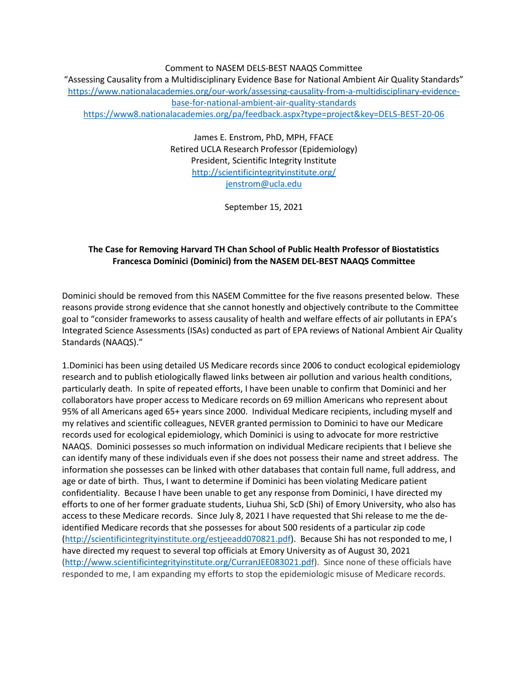Comment to NASEM DELS-BEST NAAQS Committee "Assessing Causality from a Multidisciplinary Evidence Base for National Ambient Air Quality Standards" [https://www.nationalacademies.org/our-work/assessing-causality-from-a-multidisciplinary-evidence](https://www.nationalacademies.org/our-work/assessing-causality-from-a-multidisciplinary-evidence-base-for-national-ambient-air-quality-standards)[base-for-national-ambient-air-quality-standards](https://www.nationalacademies.org/our-work/assessing-causality-from-a-multidisciplinary-evidence-base-for-national-ambient-air-quality-standards) <https://www8.nationalacademies.org/pa/feedback.aspx?type=project&key=DELS-BEST-20-06>

> James E. Enstrom, PhD, MPH, FFACE Retired UCLA Research Professor (Epidemiology) President, Scientific Integrity Institute <http://scientificintegrityinstitute.org/> [jenstrom@ucla.edu](mailto:jenstrom@ucla.edu)

> > September 15, 2021

## **The Case for Removing Harvard TH Chan School of Public Health Professor of Biostatistics Francesca Dominici (Dominici) from the NASEM DEL-BEST NAAQS Committee**

Dominici should be removed from this NASEM Committee for the five reasons presented below. These reasons provide strong evidence that she cannot honestly and objectively contribute to the Committee goal to "consider frameworks to assess causality of health and welfare effects of air pollutants in EPA's Integrated Science Assessments (ISAs) conducted as part of EPA reviews of National Ambient Air Quality Standards (NAAQS)."

1.Dominici has been using detailed US Medicare records since 2006 to conduct ecological epidemiology research and to publish etiologically flawed links between air pollution and various health conditions, particularly death. In spite of repeated efforts, I have been unable to confirm that Dominici and her collaborators have proper access to Medicare records on 69 million Americans who represent about 95% of all Americans aged 65+ years since 2000. Individual Medicare recipients, including myself and my relatives and scientific colleagues, NEVER granted permission to Dominici to have our Medicare records used for ecological epidemiology, which Dominici is using to advocate for more restrictive NAAQS. Dominici possesses so much information on individual Medicare recipients that I believe she can identify many of these individuals even if she does not possess their name and street address. The information she possesses can be linked with other databases that contain full name, full address, and age or date of birth. Thus, I want to determine if Dominici has been violating Medicare patient confidentiality. Because I have been unable to get any response from Dominici, I have directed my efforts to one of her former graduate students, Liuhua Shi, ScD (Shi) of Emory University, who also has access to these Medicare records. Since July 8, 2021 I have requested that Shi release to me the deidentified Medicare records that she possesses for about 500 residents of a particular zip code [\(http://scientificintegrityinstitute.org/estjeeadd070821.pdf\)](http://scientificintegrityinstitute.org/estjeeadd070821.pdf). Because Shi has not responded to me, I have directed my request to several top officials at Emory University as of August 30, 2021 [\(http://www.scientificintegrityinstitute.org/CurranJEE083021.pdf\)](http://www.scientificintegrityinstitute.org/CurranJEE083021.pdf). Since none of these officials have responded to me, I am expanding my efforts to stop the epidemiologic misuse of Medicare records.